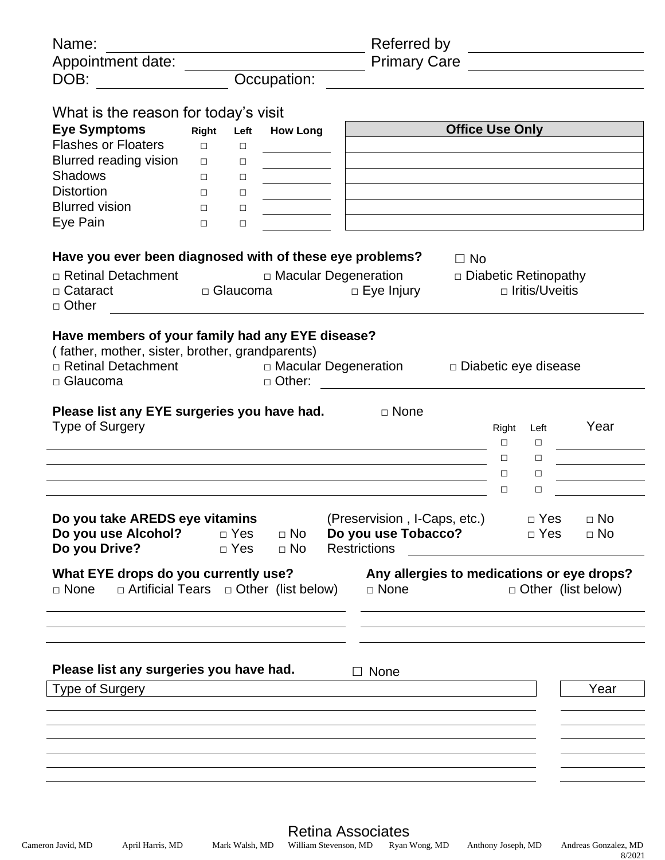| Name:                                                                                                                                     |        |                          |                        | Referred by                                                                |                        |                             |                                               |
|-------------------------------------------------------------------------------------------------------------------------------------------|--------|--------------------------|------------------------|----------------------------------------------------------------------------|------------------------|-----------------------------|-----------------------------------------------|
| Appointment date:                                                                                                                         |        |                          |                        | <b>Primary Care</b>                                                        |                        |                             | <u> 1989 - Johann Barnett, fransk kongres</u> |
| DOB:                                                                                                                                      |        |                          | Occupation:            |                                                                            |                        |                             |                                               |
| What is the reason for today's visit                                                                                                      |        |                          |                        |                                                                            |                        |                             |                                               |
| <b>Eye Symptoms</b>                                                                                                                       | Right  | Left                     | <b>How Long</b>        |                                                                            | <b>Office Use Only</b> |                             |                                               |
| <b>Flashes or Floaters</b>                                                                                                                | $\Box$ | $\Box$                   |                        |                                                                            |                        |                             |                                               |
| Blurred reading vision                                                                                                                    | $\Box$ | $\Box$                   |                        |                                                                            |                        |                             |                                               |
| <b>Shadows</b>                                                                                                                            | $\Box$ | $\Box$                   |                        |                                                                            |                        |                             |                                               |
| <b>Distortion</b>                                                                                                                         | $\Box$ | $\Box$                   |                        |                                                                            |                        |                             |                                               |
| <b>Blurred vision</b>                                                                                                                     | $\Box$ | $\Box$                   |                        |                                                                            |                        |                             |                                               |
| Eye Pain                                                                                                                                  | $\Box$ | $\Box$                   |                        |                                                                            |                        |                             |                                               |
|                                                                                                                                           |        |                          |                        |                                                                            |                        |                             |                                               |
| Have you ever been diagnosed with of these eye problems?                                                                                  |        |                          |                        |                                                                            | $\square$ No           |                             |                                               |
| □ Retinal Detachment                                                                                                                      |        |                          |                        | □ Macular Degeneration                                                     |                        | $\Box$ Diabetic Retinopathy |                                               |
| $\Box$ Cataract                                                                                                                           |        | □ Glaucoma               |                        | $\Box$ Eye Injury                                                          |                        | □ Iritis/Uveitis            |                                               |
| □ Other                                                                                                                                   |        |                          |                        |                                                                            |                        |                             |                                               |
| Have members of your family had any EYE disease?<br>(father, mother, sister, brother, grandparents)<br>□ Retinal Detachment<br>□ Glaucoma |        |                          | □ Other:               | □ Macular Degeneration                                                     |                        | □ Diabetic eye disease      |                                               |
|                                                                                                                                           |        |                          |                        |                                                                            |                        |                             |                                               |
| Please list any EYE surgeries you have had.<br><b>Type of Surgery</b>                                                                     |        |                          |                        | □ None                                                                     | Right<br>$\Box$        | Left<br>$\Box$              | Year                                          |
|                                                                                                                                           |        |                          |                        |                                                                            | $\Box$                 | $\Box$                      |                                               |
|                                                                                                                                           |        |                          |                        |                                                                            | $\Box$                 | $\Box$                      |                                               |
|                                                                                                                                           |        |                          |                        |                                                                            | $\Box$                 | □                           |                                               |
| Do you take AREDS eye vitamins<br>Do you use Alcohol?<br>Do you Drive?                                                                    |        | $\Box$ Yes<br>$\Box$ Yes | $\Box$ No<br>$\Box$ No | (Preservision, I-Caps, etc.)<br>Do you use Tobacco?<br><b>Restrictions</b> |                        | $\Box$ Yes<br>$\Box$ Yes    | $\Box$ No<br>$\Box$ No                        |
| What EYE drops do you currently use?                                                                                                      |        |                          |                        | Any allergies to medications or eye drops?                                 |                        |                             |                                               |
| $\Box$ Artificial Tears $\Box$ Other (list below)<br>$\Box$ None                                                                          |        |                          |                        | □ None                                                                     |                        | $\Box$ Other (list below)   |                                               |
|                                                                                                                                           |        |                          |                        |                                                                            |                        |                             |                                               |
|                                                                                                                                           |        |                          |                        |                                                                            |                        |                             |                                               |
|                                                                                                                                           |        |                          |                        |                                                                            |                        |                             |                                               |
| Please list any surgeries you have had.                                                                                                   |        |                          |                        | $\Box$ None                                                                |                        |                             |                                               |
| Type of Surgery                                                                                                                           |        |                          |                        |                                                                            |                        |                             | Year                                          |
|                                                                                                                                           |        |                          |                        |                                                                            |                        |                             |                                               |
|                                                                                                                                           |        |                          |                        |                                                                            |                        |                             |                                               |
|                                                                                                                                           |        |                          |                        |                                                                            |                        |                             |                                               |
|                                                                                                                                           |        |                          |                        |                                                                            |                        |                             |                                               |
|                                                                                                                                           |        |                          |                        |                                                                            |                        |                             |                                               |
|                                                                                                                                           |        |                          |                        |                                                                            |                        |                             |                                               |
|                                                                                                                                           |        |                          |                        |                                                                            |                        |                             |                                               |

Retina Associates

8/2021